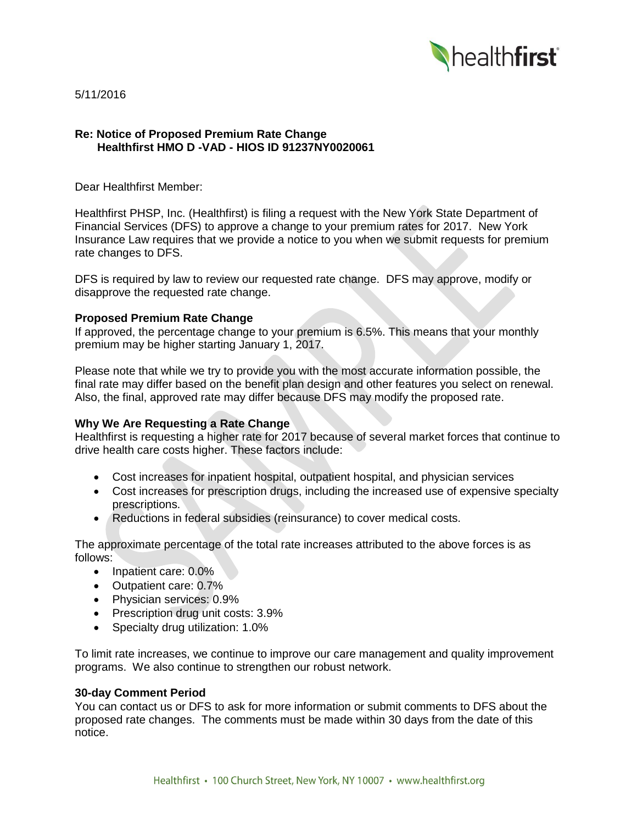

5/11/2016

## **Re: Notice of Proposed Premium Rate Change Healthfirst HMO D -VAD - HIOS ID 91237NY0020061**

Dear Healthfirst Member:

Healthfirst PHSP, Inc. (Healthfirst) is filing a request with the New York State Department of Financial Services (DFS) to approve a change to your premium rates for 2017. New York Insurance Law requires that we provide a notice to you when we submit requests for premium rate changes to DFS.

DFS is required by law to review our requested rate change. DFS may approve, modify or disapprove the requested rate change.

## **Proposed Premium Rate Change**

If approved, the percentage change to your premium is 6.5%. This means that your monthly premium may be higher starting January 1, 2017.

Please note that while we try to provide you with the most accurate information possible, the final rate may differ based on the benefit plan design and other features you select on renewal. Also, the final, approved rate may differ because DFS may modify the proposed rate.

# **Why We Are Requesting a Rate Change**

Healthfirst is requesting a higher rate for 2017 because of several market forces that continue to drive health care costs higher. These factors include:

- Cost increases for inpatient hospital, outpatient hospital, and physician services
- Cost increases for prescription drugs, including the increased use of expensive specialty prescriptions.
- Reductions in federal subsidies (reinsurance) to cover medical costs.

The approximate percentage of the total rate increases attributed to the above forces is as follows:

- Inpatient care: 0.0%
- Outpatient care: 0.7%
- Physician services: 0.9%
- Prescription drug unit costs: 3.9%
- Specialty drug utilization: 1.0%

To limit rate increases, we continue to improve our care management and quality improvement programs. We also continue to strengthen our robust network.

#### **30-day Comment Period**

You can contact us or DFS to ask for more information or submit comments to DFS about the proposed rate changes. The comments must be made within 30 days from the date of this notice.